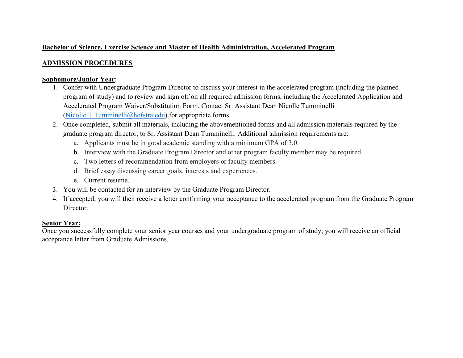# **Bachelor of Science, Exercise Science and Master of Health Administration, Accelerated Program**

# **ADMISSION PROCEDURES**

#### **Sophomore/Junior Year**:

- 1. Confer with Undergraduate Program Director to discuss your interest in the accelerated program (including the planned program of study) and to review and sign off on all required admission forms, including the Accelerated Application and Accelerated Program Waiver/Substitution Form. Contact Sr. Assistant Dean Nicolle Tumminelli ([Nicolle.T.Tumminelli@hofstra.edu](mailto:Nicolle.T.Tumminelli@hofstra.edu)) for appropriate forms.
- 2. Once completed, submit all materials, including the abovementioned forms and all admission materials required by the graduate program director, to Sr. Assistant Dean Tumminelli. Additional admission requirements are:
	- a. Applicants must be in good academic standing with a minimum GPA of 3.0.
	- b. Interview with the Graduate Program Director and other program faculty member may be required.
	- c. Two letters of recommendation from employers or faculty members.
	- d. Brief essay discussing career goals, interests and experiences.
	- e. Current resume.
- 3. You will be contacted for an interview by the Graduate Program Director.
- 4. If accepted, you will then receive a letter confirming your acceptance to the accelerated program from the Graduate Program Director.

# **Senior Year:**

 Once you successfully complete your senior year courses and your undergraduate program of study, you will receive an official acceptance letter from Graduate Admissions.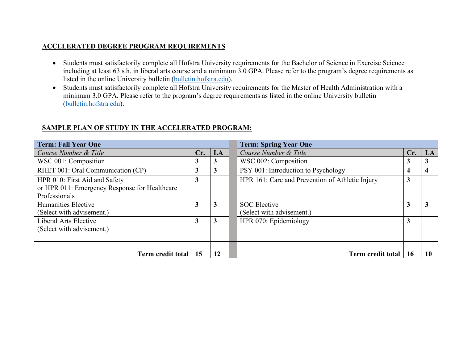#### **ACCELERATED DEGREE PROGRAM REQUIREMENTS**

- • Students must satisfactorily complete all Hofstra University requirements for the Bachelor of Science in Exercise Science including at least 63 s.h. in liberal arts course and a minimum 3.0 GPA. Please refer to the program's degree requirements as listed in the online University bulletin ([bulletin.hofstra.edu\)](https://bulletin.hofstra.edu).
- • Students must satisfactorily complete all Hofstra University requirements for the Master of Health Administration with a minimum 3.0 GPA. Please refer to the program's degree requirements as listed in the online University bulletin ([bulletin.hofstra.edu](https://bulletin.hofstra.edu)).

| <b>Term: Fall Year One</b>                    |     |              | <b>Term: Spring Year One</b>                    |           |    |  |  |
|-----------------------------------------------|-----|--------------|-------------------------------------------------|-----------|----|--|--|
| Course Number & Title                         | Cr. | LA           | Course Number & Title                           | Cr.       | LA |  |  |
| WSC 001: Composition                          | J.  | 3            | WSC 002: Composition                            | 3         |    |  |  |
| RHET 001: Oral Communication (CP)             | s   | 3            | PSY 001: Introduction to Psychology             | 4         |    |  |  |
| HPR 010: First Aid and Safety                 | 3   |              | HPR 161: Care and Prevention of Athletic Injury | 3         |    |  |  |
| or HPR 011: Emergency Response for Healthcare |     |              |                                                 |           |    |  |  |
| Professionals                                 |     |              |                                                 |           |    |  |  |
| Humanities Elective                           | s   | 3            | <b>SOC</b> Elective                             | 3         |    |  |  |
| (Select with advisement.)                     |     |              | (Select with advisement.)                       |           |    |  |  |
| Liberal Arts Elective                         | Ĵ   | $\mathbf{3}$ | HPR 070: Epidemiology                           | 3         |    |  |  |
| (Select with advisement.)                     |     |              |                                                 |           |    |  |  |
|                                               |     |              |                                                 |           |    |  |  |
|                                               |     |              |                                                 |           |    |  |  |
| <b>Term credit total</b>                      | 15  | 12           | <b>Term credit total</b>                        | <b>16</b> |    |  |  |

### **SAMPLE PLAN OF STUDY IN THE ACCELERATED PROGRAM:**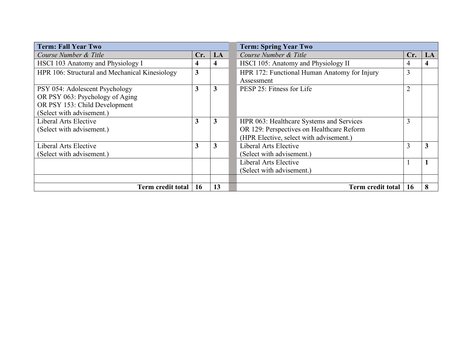| <b>Term: Fall Year Two</b>                     |                         | <b>Term: Spring Year Two</b> |                                              |     |    |
|------------------------------------------------|-------------------------|------------------------------|----------------------------------------------|-----|----|
| Course Number & Title                          | Cr.                     | LA                           | Course Number & Title                        | Cr. | LA |
| HSCI 103 Anatomy and Physiology I              | 4                       | $\overline{\mathbf{4}}$      | HSCI 105: Anatomy and Physiology II          | 4   | 4  |
| HPR 106: Structural and Mechanical Kinesiology | $\overline{\mathbf{3}}$ |                              | HPR 172: Functional Human Anatomy for Injury | 3   |    |
|                                                |                         |                              | Assessment                                   |     |    |
| PSY 054: Adolescent Psychology                 | 3                       | $\mathbf{3}$                 | PESP 25: Fitness for Life                    |     |    |
| OR PSY 063: Psychology of Aging                |                         |                              |                                              |     |    |
| OR PSY 153: Child Development                  |                         |                              |                                              |     |    |
| (Select with advisement.)                      |                         |                              |                                              |     |    |
| Liberal Arts Elective                          | 3                       | $\mathbf{3}$                 | HPR 063: Healthcare Systems and Services     | 3   |    |
| (Select with advisement.)                      |                         |                              | OR 129: Perspectives on Healthcare Reform    |     |    |
|                                                |                         |                              | (HPR Elective, select with advisement.)      |     |    |
| Liberal Arts Elective                          | 3                       | $\mathbf{3}$                 | Liberal Arts Elective                        | 3   | 3  |
| (Select with advisement.)                      |                         |                              | (Select with advisement.)                    |     |    |
|                                                |                         |                              | Liberal Arts Elective                        |     |    |
|                                                |                         |                              | (Select with advisement.)                    |     |    |
|                                                |                         |                              |                                              |     |    |
| Term credit total                              | <b>16</b>               | 13                           | Term credit total                            | 16  | 8  |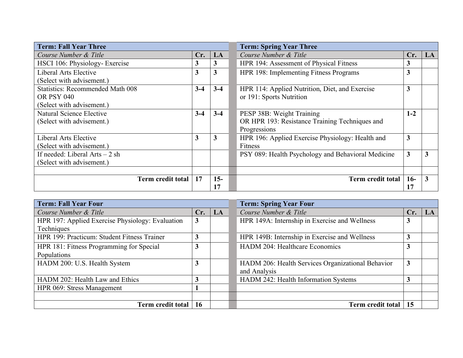| <b>Term: Fall Year Three</b>            |         | <b>Term: Spring Year Three</b> |                                                    |       |             |
|-----------------------------------------|---------|--------------------------------|----------------------------------------------------|-------|-------------|
| Course Number & Title                   | Cr.     | LA                             | Course Number & Title                              | Cr.   | LA          |
| HSCI 106: Physiology-Exercise           | 3       | 3                              | HPR 194: Assessment of Physical Fitness            | 3     |             |
| Liberal Arts Elective                   | 3       | 3                              | HPR 198: Implementing Fitness Programs             | 3     |             |
| (Select with advisement.)               |         |                                |                                                    |       |             |
| <b>Statistics: Recommended Math 008</b> | $3 - 4$ | $3-4$                          | HPR 114: Applied Nutrition, Diet, and Exercise     | 3     |             |
| <b>OR PSY 040</b>                       |         |                                | or 191: Sports Nutrition                           |       |             |
| (Select with advisement.)               |         |                                |                                                    |       |             |
| Natural Science Elective                | $3 - 4$ | $3-4$                          | PESP 38B: Weight Training                          | $1-2$ |             |
| (Select with advisement.)               |         |                                | OR HPR 193: Resistance Training Techniques and     |       |             |
|                                         |         |                                | Progressions                                       |       |             |
| <b>Liberal Arts Elective</b>            | 3       | 3                              | HPR 196: Applied Exercise Physiology: Health and   | 3     |             |
| (Select with advisement.)               |         |                                | Fitness                                            |       |             |
| If needed: Liberal Arts $-2$ sh         |         |                                | PSY 089: Health Psychology and Behavioral Medicine | 3     | 3           |
| (Select with advisement.)               |         |                                |                                                    |       |             |
|                                         |         |                                |                                                    |       |             |
| Term credit total                       | 17      | $15 -$                         | Term credit total                                  | $16-$ | $\mathbf 3$ |
|                                         |         | 17                             |                                                    | 17    |             |

| <b>Term: Fall Year Four</b>                      |                         |    | <b>Term: Spring Year Four</b>                     |                 |  |  |
|--------------------------------------------------|-------------------------|----|---------------------------------------------------|-----------------|--|--|
| Course Number & Title                            | Cr.                     | LA | Course Number & Title                             | $Cr. \nvert$ LA |  |  |
| HPR 197: Applied Exercise Physiology: Evaluation | 3                       |    | HPR 149A: Internship in Exercise and Wellness     | 3               |  |  |
| Techniques                                       |                         |    |                                                   |                 |  |  |
| HPR 199: Practicum: Student Fitness Trainer      | 3                       |    | HPR 149B: Internship in Exercise and Wellness     | 3               |  |  |
| HPR 181: Fitness Programming for Special         | 3                       |    | HADM 204: Healthcare Economics                    |                 |  |  |
| Populations                                      |                         |    |                                                   |                 |  |  |
| HADM 200: U.S. Health System                     | 3                       |    | HADM 206: Health Services Organizational Behavior | 3               |  |  |
|                                                  |                         |    | and Analysis                                      |                 |  |  |
| HADM 202: Health Law and Ethics                  | $\overline{\mathbf{3}}$ |    | HADM 242: Health Information Systems              |                 |  |  |
| HPR 069: Stress Management                       |                         |    |                                                   |                 |  |  |
|                                                  |                         |    |                                                   |                 |  |  |
| Term credit total                                | <b>16</b>               |    | Term credit total                                 | 15              |  |  |